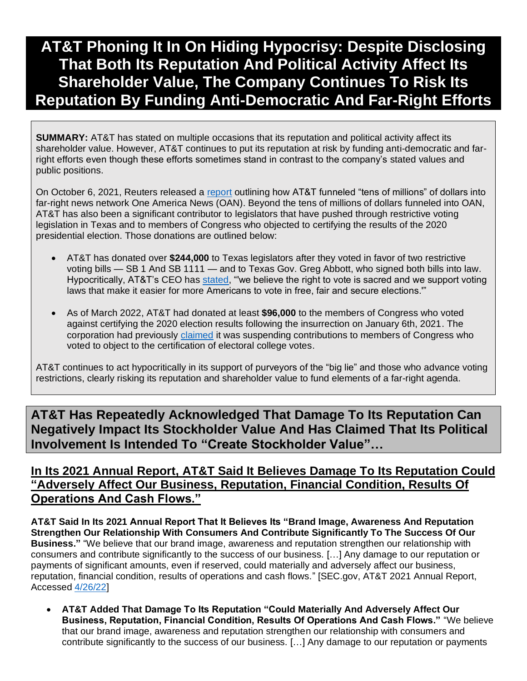# **AT&T Phoning It In On Hiding Hypocrisy: Despite Disclosing That Both Its Reputation And Political Activity Affect Its Shareholder Value, The Company Continues To Risk Its Reputation By Funding Anti-Democratic And Far-Right Efforts**

**SUMMARY:** AT&T has stated on multiple occasions that its reputation and political activity affect its shareholder value. However, AT&T continues to put its reputation at risk by funding anti-democratic and farright efforts even though these efforts sometimes stand in contrast to the company's stated values and public positions.

On October 6, 2021, Reuters released a [report](https://www.reuters.com/investigates/special-report/usa-oneamerica-att/) outlining how AT&T funneled "tens of millions" of dollars into far-right news network One America News (OAN). Beyond the tens of millions of dollars funneled into OAN, AT&T has also been a significant contributor to legislators that have pushed through restrictive voting legislation in Texas and to members of Congress who objected to certifying the results of the 2020 presidential election. Those donations are outlined below:

- AT&T has donated over **\$244,000** to Texas legislators after they voted in favor of two restrictive voting bills — SB 1 And SB 1111 — and to Texas Gov. Greg Abbott, who signed both bills into law. Hypocritically, AT&T's CEO has [stated,](https://deadline.com/2021/04/viacomcbs-georgia-voting-bill-comcast-1234726035/) "'we believe the right to vote is sacred and we support voting laws that make it easier for more Americans to vote in free, fair and secure elections.'"
- As of March 2022, AT&T had donated at least **\$96,000** to the members of Congress who voted against certifying the 2020 election results following the insurrection on January 6th, 2021. The corporation had previously [claimed](https://twitter.com/attpublicpolicy/status/1348732435610169345) it was suspending contributions to members of Congress who voted to object to the certification of electoral college votes.

AT&T continues to act hypocritically in its support of purveyors of the "big lie" and those who advance voting restrictions, clearly risking its reputation and shareholder value to fund elements of a far-right agenda.

**AT&T Has Repeatedly Acknowledged That Damage To Its Reputation Can Negatively Impact Its Stockholder Value And Has Claimed That Its Political Involvement Is Intended To "Create Stockholder Value"…**

### **In Its 2021 Annual Report, AT&T Said It Believes Damage To Its Reputation Could "Adversely Affect Our Business, Reputation, Financial Condition, Results Of Operations And Cash Flows."**

**AT&T Said In Its 2021 Annual Report That It Believes Its "Brand Image, Awareness And Reputation Strengthen Our Relationship With Consumers And Contribute Significantly To The Success Of Our Business."** "We believe that our brand image, awareness and reputation strengthen our relationship with consumers and contribute significantly to the success of our business. […] Any damage to our reputation or payments of significant amounts, even if reserved, could materially and adversely affect our business, reputation, financial condition, results of operations and cash flows." [SEC.gov, AT&T 2021 Annual Report, Accessed [4/26/22\]](https://www.sec.gov/ix?doc=/Archives/edgar/data/0000732717/000073271722000015/t-20211231.htm)

• **AT&T Added That Damage To Its Reputation "Could Materially And Adversely Affect Our Business, Reputation, Financial Condition, Results Of Operations And Cash Flows."** "We believe that our brand image, awareness and reputation strengthen our relationship with consumers and contribute significantly to the success of our business. […] Any damage to our reputation or payments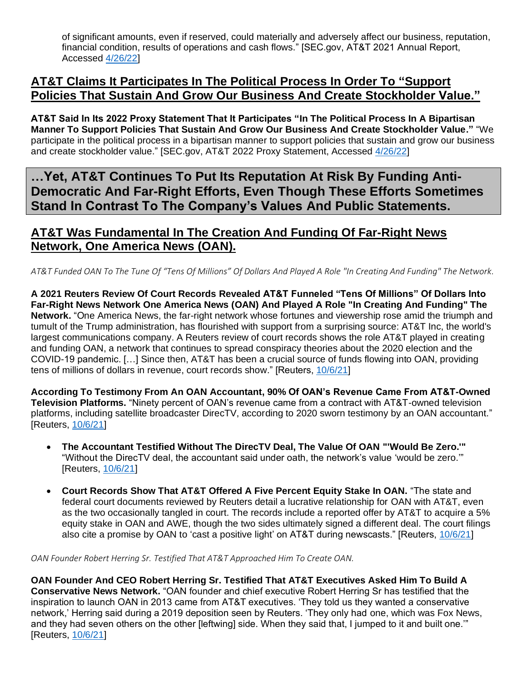of significant amounts, even if reserved, could materially and adversely affect our business, reputation, financial condition, results of operations and cash flows." [SEC.gov, AT&T 2021 Annual Report, Accessed [4/26/22\]](https://www.sec.gov/ix?doc=/Archives/edgar/data/0000732717/000073271722000015/t-20211231.htm)

#### **AT&T Claims It Participates In The Political Process In Order To "Support Policies That Sustain And Grow Our Business And Create Stockholder Value."**

**AT&T Said In Its 2022 Proxy Statement That It Participates "In The Political Process In A Bipartisan Manner To Support Policies That Sustain And Grow Our Business And Create Stockholder Value."** "We participate in the political process in a bipartisan manner to support policies that sustain and grow our business and create stockholder value." [SEC.gov, AT&T 2022 Proxy Statement, Accessed [4/26/22\]](https://www.sec.gov/Archives/edgar/data/732717/000119312522081678/d219457ddef14a.htm#toc219457_9)

**…Yet, AT&T Continues To Put Its Reputation At Risk By Funding Anti-Democratic And Far-Right Efforts, Even Though These Efforts Sometimes Stand In Contrast To The Company's Values And Public Statements.**

## **AT&T Was Fundamental In The Creation And Funding Of Far-Right News Network, One America News (OAN).**

*AT&T Funded OAN To The Tune Of "Tens Of Millions" Of Dollars And Played A Role "In Creating And Funding" The Network.*

**A 2021 Reuters Review Of Court Records Revealed AT&T Funneled "Tens Of Millions" Of Dollars Into Far-Right News Network One America News (OAN) And Played A Role "In Creating And Funding" The Network.** "One America News, the far-right network whose fortunes and viewership rose amid the triumph and tumult of the Trump administration, has flourished with support from a surprising source: AT&T Inc, the world's largest communications company. A Reuters review of court records shows the role AT&T played in creating and funding OAN, a network that continues to spread conspiracy theories about the 2020 election and the COVID-19 pandemic. […] Since then, AT&T has been a crucial source of funds flowing into OAN, providing tens of millions of dollars in revenue, court records show." [Reuters, [10/6/21\]](https://www.reuters.com/investigates/special-report/usa-oneamerica-att/)

**According To Testimony From An OAN Accountant, 90% Of OAN's Revenue Came From AT&T-Owned Television Platforms.** "Ninety percent of OAN's revenue came from a contract with AT&T-owned television platforms, including satellite broadcaster DirecTV, according to 2020 sworn testimony by an OAN accountant." [Reuters, [10/6/21\]](https://www.reuters.com/investigates/special-report/usa-oneamerica-att/)

- **The Accountant Testified Without The DirecTV Deal, The Value Of OAN "'Would Be Zero.'"** "Without the DirecTV deal, the accountant said under oath, the network's value 'would be zero.'" [Reuters, [10/6/21\]](https://www.reuters.com/investigates/special-report/usa-oneamerica-att/)
- **Court Records Show That AT&T Offered A Five Percent Equity Stake In OAN.** "The state and federal court documents reviewed by Reuters detail a lucrative relationship for OAN with AT&T, even as the two occasionally tangled in court. The records include a reported offer by AT&T to acquire a 5% equity stake in OAN and AWE, though the two sides ultimately signed a different deal. The court filings also cite a promise by OAN to 'cast a positive light' on AT&T during newscasts." [Reuters, [10/6/21\]](https://www.reuters.com/investigates/special-report/usa-oneamerica-att/)

*OAN Founder Robert Herring Sr. Testified That AT&T Approached Him To Create OAN.*

**OAN Founder And CEO Robert Herring Sr. Testified That AT&T Executives Asked Him To Build A Conservative News Network.** "OAN founder and chief executive Robert Herring Sr has testified that the inspiration to launch OAN in 2013 came from AT&T executives. 'They told us they wanted a conservative network,' Herring said during a 2019 deposition seen by Reuters. 'They only had one, which was Fox News, and they had seven others on the other [leftwing] side. When they said that, I jumped to it and built one.'" [Reuters, [10/6/21\]](https://www.reuters.com/investigates/special-report/usa-oneamerica-att/)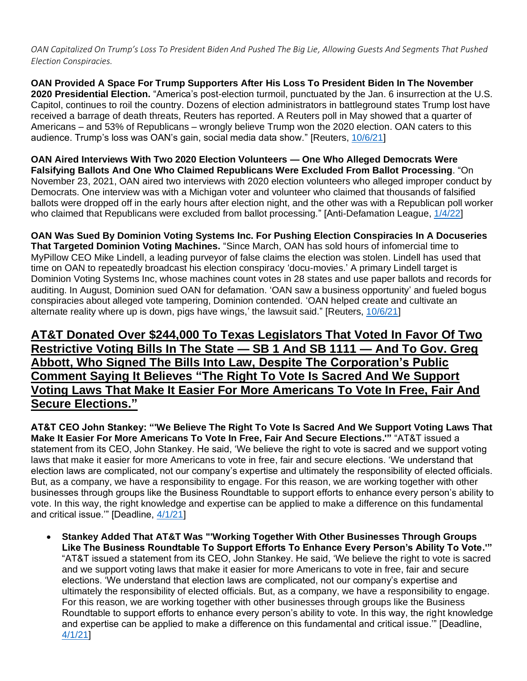*OAN Capitalized On Trump's Loss To President Biden And Pushed The Big Lie, Allowing Guests And Segments That Pushed Election Conspiracies.*

**OAN Provided A Space For Trump Supporters After His Loss To President Biden In The November 2020 Presidential Election.** "America's post-election turmoil, punctuated by the Jan. 6 insurrection at the U.S. Capitol, continues to roil the country. Dozens of election administrators in battleground states Trump lost have received a barrage of death threats, Reuters has reported. A Reuters poll in May showed that a quarter of Americans – and 53% of Republicans – wrongly believe Trump won the 2020 election. OAN caters to this audience. Trump's loss was OAN's gain, social media data show." [Reuters, [10/6/21\]](https://www.reuters.com/investigates/special-report/usa-oneamerica-att/)

**OAN Aired Interviews With Two 2020 Election Volunteers — One Who Alleged Democrats Were Falsifying Ballots And One Who Claimed Republicans Were Excluded From Ballot Processing**. "On November 23, 2021, OAN aired two interviews with 2020 election volunteers who alleged improper conduct by Democrats. One interview was with a Michigan voter and volunteer who claimed that thousands of falsified ballots were dropped off in the early hours after election night, and the other was with a Republican poll worker who claimed that Republicans were excluded from ballot processing." [Anti-Defamation League,  $1/4/22$ ]

**OAN Was Sued By Dominion Voting Systems Inc. For Pushing Election Conspiracies In A Docuseries That Targeted Dominion Voting Machines.** "Since March, OAN has sold hours of infomercial time to MyPillow CEO Mike Lindell, a leading purveyor of false claims the election was stolen. Lindell has used that time on OAN to repeatedly broadcast his election conspiracy 'docu-movies.' A primary Lindell target is Dominion Voting Systems Inc, whose machines count votes in 28 states and use paper ballots and records for auditing. In August, Dominion sued OAN for defamation. 'OAN saw a business opportunity' and fueled bogus conspiracies about alleged vote tampering, Dominion contended. 'OAN helped create and cultivate an alternate reality where up is down, pigs have wings,' the lawsuit said." [Reuters, [10/6/21\]](https://www.reuters.com/investigates/special-report/usa-oneamerica-att/)

## **AT&T Donated Over \$244,000 To Texas Legislators That Voted In Favor Of Two Restrictive Voting Bills In The State — SB 1 And SB 1111 — And To Gov. Greg Abbott, Who Signed The Bills Into Law, Despite The Corporation's Public Comment Saying It Believes "The Right To Vote Is Sacred And We Support Voting Laws That Make It Easier For More Americans To Vote In Free, Fair And Secure Elections."**

**AT&T CEO John Stankey: "'We Believe The Right To Vote Is Sacred And We Support Voting Laws That Make It Easier For More Americans To Vote In Free, Fair And Secure Elections.'"** "AT&T issued a statement from its CEO, John Stankey. He said, 'We believe the right to vote is sacred and we support voting laws that make it easier for more Americans to vote in free, fair and secure elections. 'We understand that election laws are complicated, not our company's expertise and ultimately the responsibility of elected officials. But, as a company, we have a responsibility to engage. For this reason, we are working together with other businesses through groups like the Business Roundtable to support efforts to enhance every person's ability to vote. In this way, the right knowledge and expertise can be applied to make a difference on this fundamental and critical issue.'" [Deadline, [4/1/21\]](https://deadline.com/2021/04/viacomcbs-georgia-voting-bill-comcast-1234726035/)

• **Stankey Added That AT&T Was "'Working Together With Other Businesses Through Groups Like The Business Roundtable To Support Efforts To Enhance Every Person's Ability To Vote.'"**  "AT&T issued a statement from its CEO, John Stankey. He said, 'We believe the right to vote is sacred and we support voting laws that make it easier for more Americans to vote in free, fair and secure elections. 'We understand that election laws are complicated, not our company's expertise and ultimately the responsibility of elected officials. But, as a company, we have a responsibility to engage. For this reason, we are working together with other businesses through groups like the Business Roundtable to support efforts to enhance every person's ability to vote. In this way, the right knowledge and expertise can be applied to make a difference on this fundamental and critical issue.'" [Deadline, [4/1/21\]](https://deadline.com/2021/04/viacomcbs-georgia-voting-bill-comcast-1234726035/)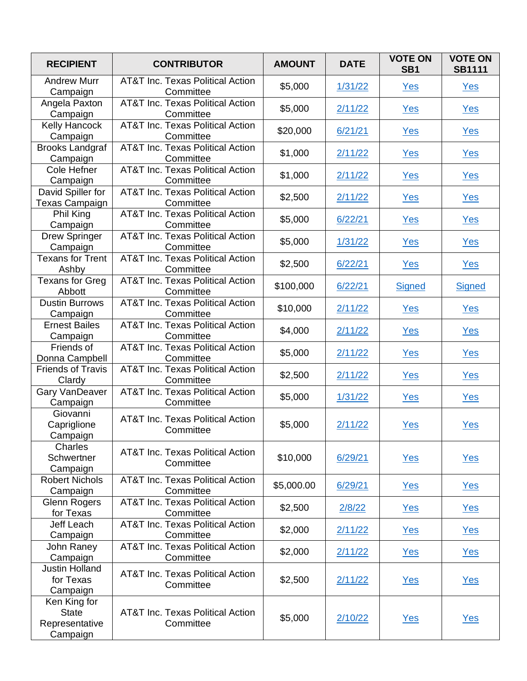| <b>RECIPIENT</b>                                           | <b>CONTRIBUTOR</b>                                       | <b>AMOUNT</b> | <b>DATE</b> | <b>VOTE ON</b><br>SB <sub>1</sub> | <b>VOTE ON</b><br><b>SB1111</b> |
|------------------------------------------------------------|----------------------------------------------------------|---------------|-------------|-----------------------------------|---------------------------------|
| <b>Andrew Murr</b><br>Campaign                             | <b>AT&amp;T Inc. Texas Political Action</b><br>Committee | \$5,000       | 1/31/22     | Yes                               | Yes                             |
| Angela Paxton<br>Campaign                                  | <b>AT&amp;T Inc. Texas Political Action</b><br>Committee | \$5,000       | 2/11/22     | Yes                               | <u>Yes</u>                      |
| Kelly Hancock<br>Campaign                                  | <b>AT&amp;T Inc. Texas Political Action</b><br>Committee | \$20,000      | 6/21/21     | <u>Yes</u>                        | $Yes$                           |
| <b>Brooks Landgraf</b><br>Campaign                         | <b>AT&amp;T Inc. Texas Political Action</b><br>Committee | \$1,000       | 2/11/22     | <u>Yes</u>                        | Yes                             |
| Cole Hefner<br>Campaign                                    | <b>AT&amp;T Inc. Texas Political Action</b><br>Committee | \$1,000       | 2/11/22     | Yes                               | Yes                             |
| David Spiller for<br>Texas Campaign                        | <b>AT&amp;T Inc. Texas Political Action</b><br>Committee | \$2,500       | 2/11/22     | Yes                               | Yes                             |
| Phil King<br>Campaign                                      | <b>AT&amp;T Inc. Texas Political Action</b><br>Committee | \$5,000       | 6/22/21     | Yes                               | Yes                             |
| Drew Springer<br>Campaign                                  | <b>AT&amp;T Inc. Texas Political Action</b><br>Committee | \$5,000       | 1/31/22     | Yes                               | <b>Yes</b>                      |
| <b>Texans for Trent</b><br>Ashby                           | <b>AT&amp;T Inc. Texas Political Action</b><br>Committee | \$2,500       | 6/22/21     | Yes                               | Yes                             |
| <b>Texans for Greg</b><br>Abbott                           | <b>AT&amp;T Inc. Texas Political Action</b><br>Committee | \$100,000     | 6/22/21     | <b>Signed</b>                     | <b>Signed</b>                   |
| <b>Dustin Burrows</b><br>Campaign                          | <b>AT&amp;T Inc. Texas Political Action</b><br>Committee | \$10,000      | 2/11/22     | Yes                               | Yes                             |
| <b>Ernest Bailes</b><br>Campaign                           | <b>AT&amp;T Inc. Texas Political Action</b><br>Committee | \$4,000       | 2/11/22     | Yes                               | Yes                             |
| Friends of<br>Donna Campbell                               | <b>AT&amp;T Inc. Texas Political Action</b><br>Committee | \$5,000       | 2/11/22     | Yes                               | Yes                             |
| <b>Friends of Travis</b><br>Clardy                         | <b>AT&amp;T Inc. Texas Political Action</b><br>Committee | \$2,500       | 2/11/22     | <u>Yes</u>                        | <u>Yes</u>                      |
| Gary VanDeaver<br>Campaign                                 | <b>AT&amp;T Inc. Texas Political Action</b><br>Committee | \$5,000       | 1/31/22     | $Yes$                             | $Yes$                           |
| Giovanni<br>Capriglione<br>Campaign                        | <b>AT&amp;T Inc. Texas Political Action</b><br>Committee | \$5,000       | 2/11/22     | <u>Yes</u>                        | Yes                             |
| Charles<br>Schwertner<br>Campaign                          | <b>AT&amp;T Inc. Texas Political Action</b><br>Committee | \$10,000      | 6/29/21     | Yes                               | $Yes$                           |
| <b>Robert Nichols</b><br>Campaign                          | <b>AT&amp;T Inc. Texas Political Action</b><br>Committee | \$5,000.00    | 6/29/21     | Yes                               | <u>Yes</u>                      |
| <b>Glenn Rogers</b><br>for Texas                           | <b>AT&amp;T Inc. Texas Political Action</b><br>Committee | \$2,500       | 2/8/22      | <u>Yes</u>                        | <u>Yes</u>                      |
| <b>Jeff Leach</b><br>Campaign                              | <b>AT&amp;T Inc. Texas Political Action</b><br>Committee | \$2,000       | 2/11/22     | <u>Yes</u>                        | <u>Yes</u>                      |
| John Raney<br>Campaign                                     | <b>AT&amp;T Inc. Texas Political Action</b><br>Committee | \$2,000       | 2/11/22     | Yes                               | Yes                             |
| <b>Justin Holland</b><br>for Texas<br>Campaign             | <b>AT&amp;T Inc. Texas Political Action</b><br>Committee | \$2,500       | 2/11/22     | Yes                               | $Yes$                           |
| Ken King for<br><b>State</b><br>Representative<br>Campaign | <b>AT&amp;T Inc. Texas Political Action</b><br>Committee | \$5,000       | 2/10/22     | <u>Yes</u>                        | <u>Yes</u>                      |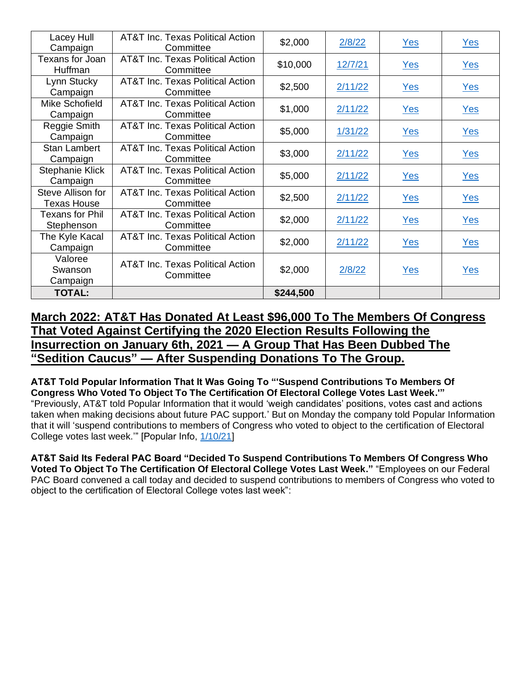| Lacey Hull<br>Campaign                  | AT&T Inc. Texas Political Action<br>Committee            | \$2,000   | 2/8/22  | Yes        | Yes        |
|-----------------------------------------|----------------------------------------------------------|-----------|---------|------------|------------|
| Texans for Joan<br>Huffman              | <b>AT&amp;T Inc. Texas Political Action</b><br>Committee | \$10,000  | 12/7/21 | Yes        | $Yes$      |
| Lynn Stucky<br>Campaign                 | <b>AT&amp;T Inc. Texas Political Action</b><br>Committee | \$2,500   | 2/11/22 | <u>Yes</u> | Yes        |
| Mike Schofield<br>Campaign              | <b>AT&amp;T Inc. Texas Political Action</b><br>Committee | \$1,000   | 2/11/22 | <u>Yes</u> | $Yes$      |
| Reggie Smith<br>Campaign                | <b>AT&amp;T Inc. Texas Political Action</b><br>Committee | \$5,000   | 1/31/22 | <u>Yes</u> | $Yes$      |
| <b>Stan Lambert</b><br>Campaign         | <b>AT&amp;T Inc. Texas Political Action</b><br>Committee | \$3,000   | 2/11/22 | <u>Yes</u> | $Yes$      |
| <b>Stephanie Klick</b><br>Campaign      | <b>AT&amp;T Inc. Texas Political Action</b><br>Committee | \$5,000   | 2/11/22 | <u>Yes</u> | $Yes$      |
| Steve Allison for<br><b>Texas House</b> | <b>AT&amp;T Inc. Texas Political Action</b><br>Committee | \$2,500   | 2/11/22 | Yes        | Yes        |
| <b>Texans for Phil</b><br>Stephenson    | <b>AT&amp;T Inc. Texas Political Action</b><br>Committee | \$2,000   | 2/11/22 | Yes        | Yes        |
| The Kyle Kacal<br>Campaign              | <b>AT&amp;T Inc. Texas Political Action</b><br>Committee | \$2,000   | 2/11/22 | Yes        | Yes        |
| Valoree<br>Swanson<br>Campaign          | <b>AT&amp;T Inc. Texas Political Action</b><br>Committee | \$2,000   | 2/8/22  | <u>Yes</u> | <u>Yes</u> |
| <b>TOTAL:</b>                           |                                                          | \$244,500 |         |            |            |

#### **March 2022: AT&T Has Donated At Least \$96,000 To The Members Of Congress That Voted Against Certifying the 2020 Election Results Following the Insurrection on January 6th, 2021 — A Group That Has Been Dubbed The "Sedition Caucus" — After Suspending Donations To The Group.**

**AT&T Told Popular Information That It Was Going To "'Suspend Contributions To Members Of Congress Who Voted To Object To The Certification Of Electoral College Votes Last Week.'"**  "Previously, AT&T told Popular Information that it would 'weigh candidates' positions, votes cast and actions taken when making decisions about future PAC support.' But on Monday the company told Popular Information that it will 'suspend contributions to members of Congress who voted to object to the certification of Electoral College votes last week.'" [Popular Info, [1/10/21\]](https://popular.info/p/three-major-corporations-say-they?s=r)

**AT&T Said Its Federal PAC Board "Decided To Suspend Contributions To Members Of Congress Who Voted To Object To The Certification Of Electoral College Votes Last Week."** "Employees on our Federal PAC Board convened a call today and decided to suspend contributions to members of Congress who voted to object to the certification of Electoral College votes last week":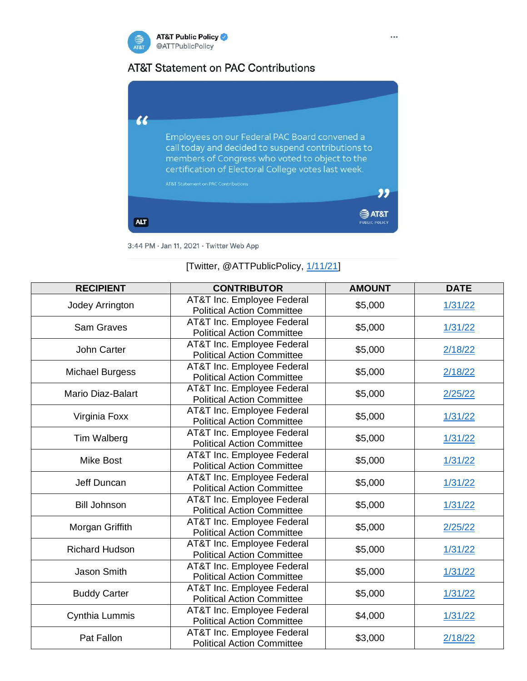#### **AT&T Statement on PAC Contributions**



3:44 PM · Jan 11, 2021 · Twitter Web App

| [Twitter, @ATTPublicPolicy, 1/11/21] |  |
|--------------------------------------|--|
|--------------------------------------|--|

| <b>RECIPIENT</b>         | <b>CONTRIBUTOR</b>                                                         | <b>AMOUNT</b> | <b>DATE</b> |
|--------------------------|----------------------------------------------------------------------------|---------------|-------------|
| Jodey Arrington          | AT&T Inc. Employee Federal<br><b>Political Action Committee</b>            | \$5,000       | 1/31/22     |
| <b>Sam Graves</b>        | <b>AT&amp;T Inc. Employee Federal</b><br><b>Political Action Committee</b> | \$5,000       | 1/31/22     |
| <b>John Carter</b>       | <b>AT&amp;T Inc. Employee Federal</b><br><b>Political Action Committee</b> | \$5,000       | 2/18/22     |
| <b>Michael Burgess</b>   | AT&T Inc. Employee Federal<br><b>Political Action Committee</b>            | \$5,000       | 2/18/22     |
| <b>Mario Diaz-Balart</b> | AT&T Inc. Employee Federal<br><b>Political Action Committee</b>            | \$5,000       | 2/25/22     |
| Virginia Foxx            | <b>AT&amp;T Inc. Employee Federal</b><br><b>Political Action Committee</b> | \$5,000       | 1/31/22     |
| Tim Walberg              | <b>AT&amp;T Inc. Employee Federal</b><br><b>Political Action Committee</b> | \$5,000       | 1/31/22     |
| <b>Mike Bost</b>         | AT&T Inc. Employee Federal<br><b>Political Action Committee</b>            | \$5,000       | 1/31/22     |
| Jeff Duncan              | <b>AT&amp;T Inc. Employee Federal</b><br><b>Political Action Committee</b> | \$5,000       | 1/31/22     |
| <b>Bill Johnson</b>      | <b>AT&amp;T Inc. Employee Federal</b><br><b>Political Action Committee</b> | \$5,000       | 1/31/22     |
| Morgan Griffith          | <b>AT&amp;T Inc. Employee Federal</b><br><b>Political Action Committee</b> | \$5,000       | 2/25/22     |
| <b>Richard Hudson</b>    | AT&T Inc. Employee Federal<br><b>Political Action Committee</b>            | \$5,000       | 1/31/22     |
| <b>Jason Smith</b>       | <b>AT&amp;T Inc. Employee Federal</b><br><b>Political Action Committee</b> | \$5,000       | 1/31/22     |
| <b>Buddy Carter</b>      | <b>AT&amp;T Inc. Employee Federal</b><br><b>Political Action Committee</b> | \$5,000       | 1/31/22     |
| Cynthia Lummis           | AT&T Inc. Employee Federal<br><b>Political Action Committee</b>            | \$4,000       | 1/31/22     |
| Pat Fallon               | AT&T Inc. Employee Federal<br><b>Political Action Committee</b>            | \$3,000       | 2/18/22     |